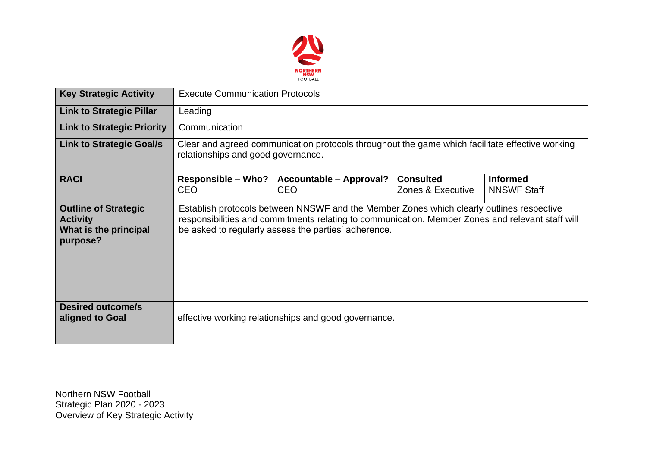

| <b>Key Strategic Activity</b>                                                       | <b>Execute Communication Protocols</b>                                                                                                                                                                                                               |                                       |                                       |                                       |  |  |  |
|-------------------------------------------------------------------------------------|------------------------------------------------------------------------------------------------------------------------------------------------------------------------------------------------------------------------------------------------------|---------------------------------------|---------------------------------------|---------------------------------------|--|--|--|
| <b>Link to Strategic Pillar</b>                                                     | Leading                                                                                                                                                                                                                                              |                                       |                                       |                                       |  |  |  |
| <b>Link to Strategic Priority</b>                                                   | Communication                                                                                                                                                                                                                                        |                                       |                                       |                                       |  |  |  |
| <b>Link to Strategic Goal/s</b>                                                     | Clear and agreed communication protocols throughout the game which facilitate effective working<br>relationships and good governance.                                                                                                                |                                       |                                       |                                       |  |  |  |
| <b>RACI</b>                                                                         | <b>Responsible - Who?</b><br><b>CEO</b>                                                                                                                                                                                                              | Accountable - Approval?<br><b>CEO</b> | <b>Consulted</b><br>Zones & Executive | <b>Informed</b><br><b>NNSWF Staff</b> |  |  |  |
| <b>Outline of Strategic</b><br><b>Activity</b><br>What is the principal<br>purpose? | Establish protocols between NNSWF and the Member Zones which clearly outlines respective<br>responsibilities and commitments relating to communication. Member Zones and relevant staff will<br>be asked to regularly assess the parties' adherence. |                                       |                                       |                                       |  |  |  |
| <b>Desired outcome/s</b><br>aligned to Goal                                         | effective working relationships and good governance.                                                                                                                                                                                                 |                                       |                                       |                                       |  |  |  |

Northern NSW Football Strategic Plan 2020 - 2023 Overview of Key Strategic Activity